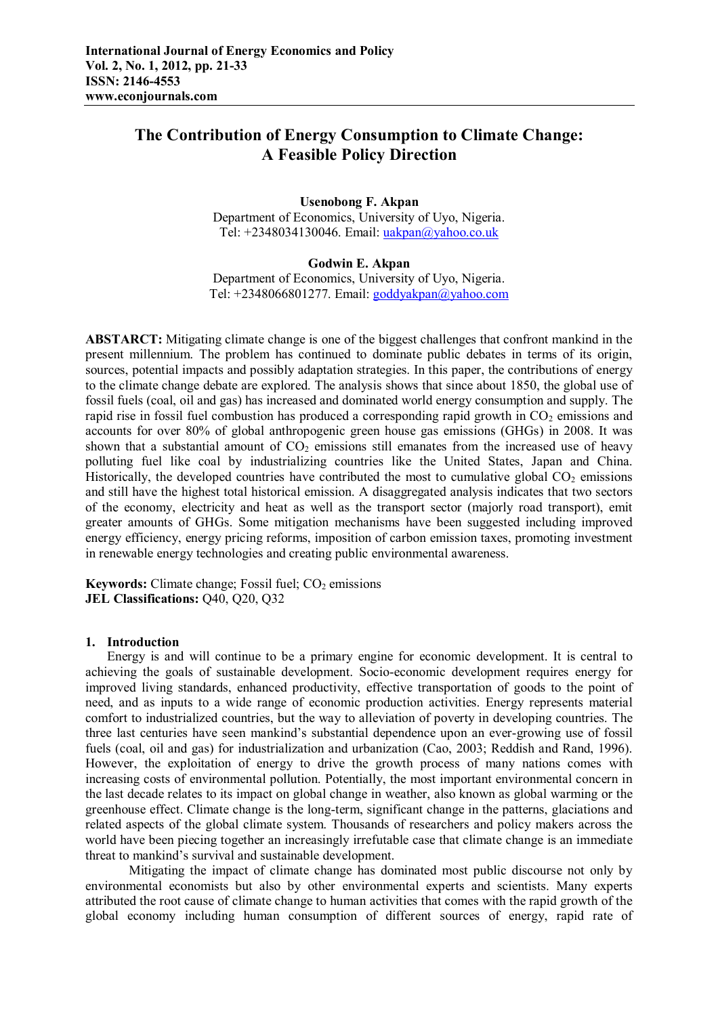# **The Contribution of Energy Consumption to Climate Change: A Feasible Policy Direction**

#### **Usenobong F. Akpan**

Department of Economics, University of Uyo, Nigeria. Tel: +2348034130046. Email: uakpan@yahoo.co.uk

#### **Godwin E. Akpan**

Department of Economics, University of Uyo, Nigeria. Tel: +2348066801277. Email: goddyakpan@yahoo.com

**ABSTARCT:** Mitigating climate change is one of the biggest challenges that confront mankind in the present millennium. The problem has continued to dominate public debates in terms of its origin, sources, potential impacts and possibly adaptation strategies. In this paper, the contributions of energy to the climate change debate are explored. The analysis shows that since about 1850, the global use of fossil fuels (coal, oil and gas) has increased and dominated world energy consumption and supply. The rapid rise in fossil fuel combustion has produced a corresponding rapid growth in  $CO<sub>2</sub>$  emissions and accounts for over 80% of global anthropogenic green house gas emissions (GHGs) in 2008. It was shown that a substantial amount of  $CO<sub>2</sub>$  emissions still emanates from the increased use of heavy polluting fuel like coal by industrializing countries like the United States, Japan and China. Historically, the developed countries have contributed the most to cumulative global  $CO<sub>2</sub>$  emissions and still have the highest total historical emission. A disaggregated analysis indicates that two sectors of the economy, electricity and heat as well as the transport sector (majorly road transport), emit greater amounts of GHGs. Some mitigation mechanisms have been suggested including improved energy efficiency, energy pricing reforms, imposition of carbon emission taxes, promoting investment in renewable energy technologies and creating public environmental awareness.

**Keywords:** Climate change; Fossil fuel; CO<sub>2</sub> emissions **JEL Classifications:** Q40, Q20, Q32

### **1. Introduction**

Energy is and will continue to be a primary engine for economic development. It is central to achieving the goals of sustainable development. Socio-economic development requires energy for improved living standards, enhanced productivity, effective transportation of goods to the point of need, and as inputs to a wide range of economic production activities. Energy represents material comfort to industrialized countries, but the way to alleviation of poverty in developing countries. The three last centuries have seen mankind's substantial dependence upon an ever-growing use of fossil fuels (coal, oil and gas) for industrialization and urbanization (Cao, 2003; Reddish and Rand, 1996). However, the exploitation of energy to drive the growth process of many nations comes with increasing costs of environmental pollution. Potentially, the most important environmental concern in the last decade relates to its impact on global change in weather, also known as global warming or the greenhouse effect. Climate change is the long-term, significant change in the patterns, glaciations and related aspects of the global climate system. Thousands of researchers and policy makers across the world have been piecing together an increasingly irrefutable case that climate change is an immediate threat to mankind's survival and sustainable development.

Mitigating the impact of climate change has dominated most public discourse not only by environmental economists but also by other environmental experts and scientists. Many experts attributed the root cause of climate change to human activities that comes with the rapid growth of the global economy including human consumption of different sources of energy, rapid rate of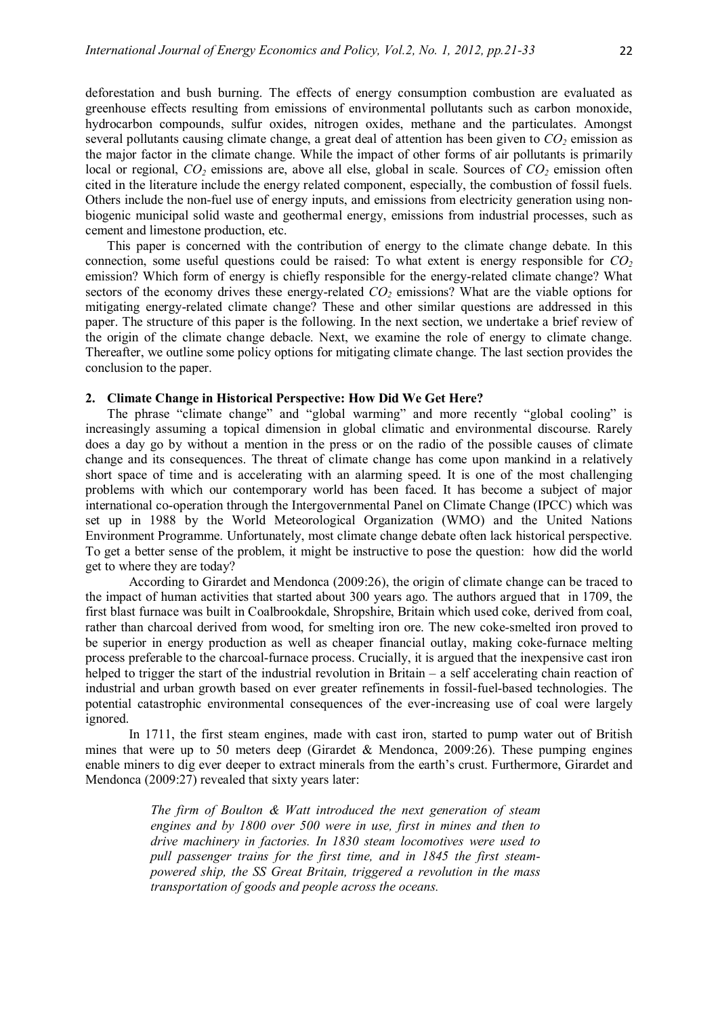deforestation and bush burning. The effects of energy consumption combustion are evaluated as greenhouse effects resulting from emissions of environmental pollutants such as carbon monoxide, hydrocarbon compounds, sulfur oxides, nitrogen oxides, methane and the particulates. Amongst several pollutants causing climate change, a great deal of attention has been given to *CO2* emission as the major factor in the climate change. While the impact of other forms of air pollutants is primarily local or regional, *CO2* emissions are, above all else, global in scale. Sources of *CO2* emission often cited in the literature include the energy related component, especially, the combustion of fossil fuels. Others include the non-fuel use of energy inputs, and emissions from electricity generation using nonbiogenic municipal solid waste and geothermal energy, emissions from industrial processes, such as cement and limestone production, etc.

This paper is concerned with the contribution of energy to the climate change debate. In this connection, some useful questions could be raised: To what extent is energy responsible for *CO<sup>2</sup>* emission? Which form of energy is chiefly responsible for the energy-related climate change? What sectors of the economy drives these energy-related  $CO<sub>2</sub>$  emissions? What are the viable options for mitigating energy-related climate change? These and other similar questions are addressed in this paper. The structure of this paper is the following. In the next section, we undertake a brief review of the origin of the climate change debacle. Next, we examine the role of energy to climate change. Thereafter, we outline some policy options for mitigating climate change. The last section provides the conclusion to the paper.

#### **2. Climate Change in Historical Perspective: How Did We Get Here?**

The phrase "climate change" and "global warming" and more recently "global cooling" is increasingly assuming a topical dimension in global climatic and environmental discourse. Rarely does a day go by without a mention in the press or on the radio of the possible causes of climate change and its consequences. The threat of climate change has come upon mankind in a relatively short space of time and is accelerating with an alarming speed. It is one of the most challenging problems with which our contemporary world has been faced. It has become a subject of major international co-operation through the Intergovernmental Panel on Climate Change (IPCC) which was set up in 1988 by the World Meteorological Organization (WMO) and the United Nations Environment Programme. Unfortunately, most climate change debate often lack historical perspective. To get a better sense of the problem, it might be instructive to pose the question: how did the world get to where they are today?

According to Girardet and Mendonca (2009:26), the origin of climate change can be traced to the impact of human activities that started about 300 years ago. The authors argued that in 1709, the first blast furnace was built in Coalbrookdale, Shropshire, Britain which used coke, derived from coal, rather than charcoal derived from wood, for smelting iron ore. The new coke-smelted iron proved to be superior in energy production as well as cheaper financial outlay, making coke-furnace melting process preferable to the charcoal-furnace process. Crucially, it is argued that the inexpensive cast iron helped to trigger the start of the industrial revolution in Britain – a self accelerating chain reaction of industrial and urban growth based on ever greater refinements in fossil-fuel-based technologies. The potential catastrophic environmental consequences of the ever-increasing use of coal were largely ignored.

In 1711, the first steam engines, made with cast iron, started to pump water out of British mines that were up to 50 meters deep (Girardet & Mendonca, 2009:26). These pumping engines enable miners to dig ever deeper to extract minerals from the earth's crust. Furthermore, Girardet and Mendonca (2009:27) revealed that sixty years later:

> *The firm of Boulton & Watt introduced the next generation of steam engines and by 1800 over 500 were in use, first in mines and then to drive machinery in factories. In 1830 steam locomotives were used to pull passenger trains for the first time, and in 1845 the first steampowered ship, the SS Great Britain, triggered a revolution in the mass transportation of goods and people across the oceans.*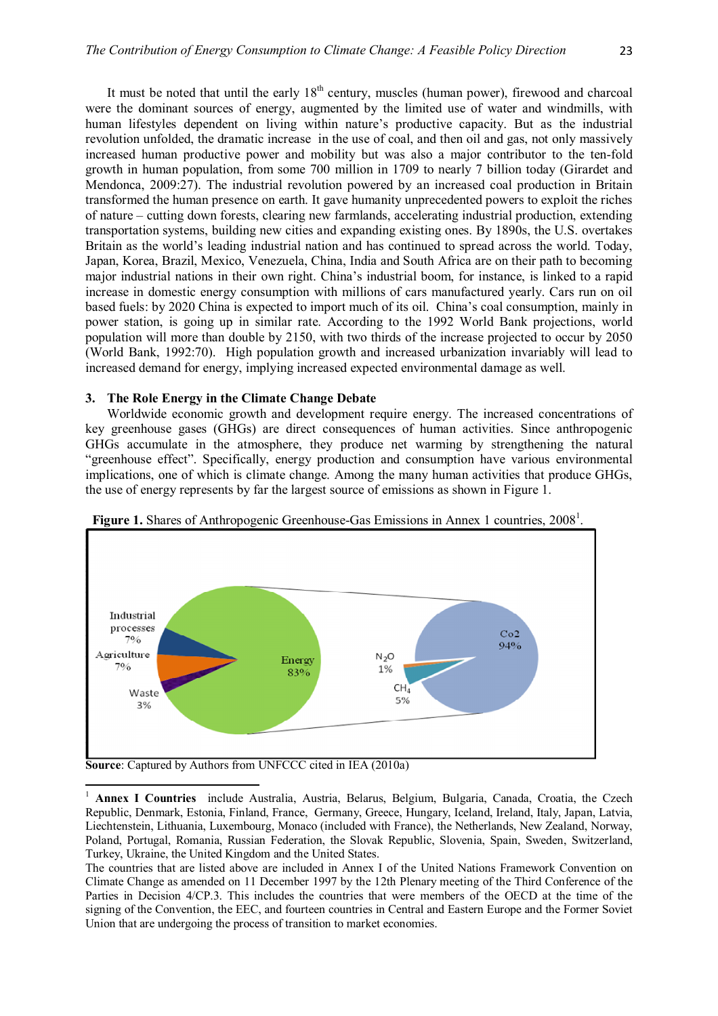It must be noted that until the early  $18<sup>th</sup>$  century, muscles (human power), firewood and charcoal were the dominant sources of energy, augmented by the limited use of water and windmills, with human lifestyles dependent on living within nature's productive capacity. But as the industrial revolution unfolded, the dramatic increase in the use of coal, and then oil and gas, not only massively increased human productive power and mobility but was also a major contributor to the ten-fold growth in human population, from some 700 million in 1709 to nearly 7 billion today (Girardet and Mendonca, 2009:27). The industrial revolution powered by an increased coal production in Britain transformed the human presence on earth. It gave humanity unprecedented powers to exploit the riches of nature – cutting down forests, clearing new farmlands, accelerating industrial production, extending transportation systems, building new cities and expanding existing ones. By 1890s, the U.S. overtakes Britain as the world's leading industrial nation and has continued to spread across the world. Today, Japan, Korea, Brazil, Mexico, Venezuela, China, India and South Africa are on their path to becoming major industrial nations in their own right. China's industrial boom, for instance, is linked to a rapid increase in domestic energy consumption with millions of cars manufactured yearly. Cars run on oil based fuels: by 2020 China is expected to import much of its oil. China's coal consumption, mainly in power station, is going up in similar rate. According to the 1992 World Bank projections, world population will more than double by 2150, with two thirds of the increase projected to occur by 2050 (World Bank, 1992:70). High population growth and increased urbanization invariably will lead to increased demand for energy, implying increased expected environmental damage as well.

#### **3. The Role Energy in the Climate Change Debate**

Worldwide economic growth and development require energy. The increased concentrations of key greenhouse gases (GHGs) are direct consequences of human activities. Since anthropogenic GHGs accumulate in the atmosphere, they produce net warming by strengthening the natural "greenhouse effect". Specifically, energy production and consumption have various environmental implications, one of which is climate change. Among the many human activities that produce GHGs, the use of energy represents by far the largest source of emissions as shown in Figure 1.



Figure 1. Shares of Anthropogenic Greenhouse-Gas Emissions in Annex 1 countries, 2008<sup>1</sup>.

**Source**: Captured by Authors from UNFCCC cited in IEA (2010a)

1

<sup>&</sup>lt;sup>1</sup> **Annex I Countries** include Australia, Austria, Belarus, Belgium, Bulgaria, Canada, Croatia, the Czech Republic, Denmark, Estonia, Finland, France, Germany, Greece, Hungary, Iceland, Ireland, Italy, Japan, Latvia, Liechtenstein, Lithuania, Luxembourg, Monaco (included with France), the Netherlands, New Zealand, Norway, Poland, Portugal, Romania, Russian Federation, the Slovak Republic, Slovenia, Spain, Sweden, Switzerland, Turkey, Ukraine, the United Kingdom and the United States.

The countries that are listed above are included in Annex I of the United Nations Framework Convention on Climate Change as amended on 11 December 1997 by the 12th Plenary meeting of the Third Conference of the Parties in Decision 4/CP.3. This includes the countries that were members of the OECD at the time of the signing of the Convention, the EEC, and fourteen countries in Central and Eastern Europe and the Former Soviet Union that are undergoing the process of transition to market economies.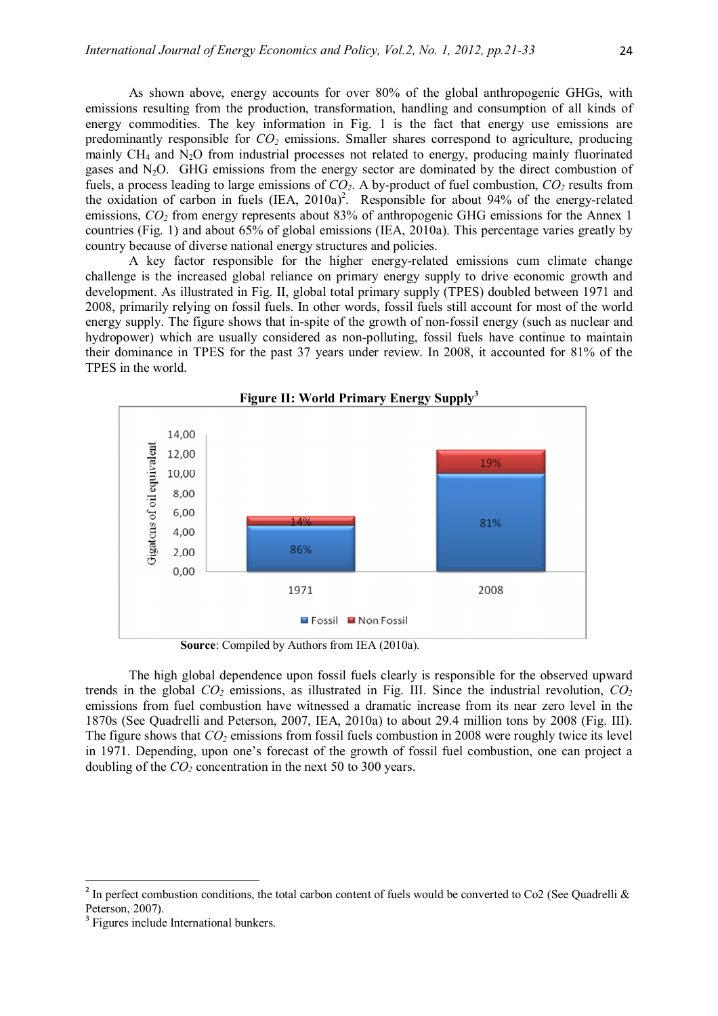As shown above, energy accounts for over 80% of the global anthropogenic GHGs, with emissions resulting from the production, transformation, handling and consumption of all kinds of energy commodities. The key information in Fig. 1 is the fact that energy use emissions are predominantly responsible for *CO2* emissions. Smaller shares correspond to agriculture, producing mainly  $CH_4$  and  $\overline{N}_2O$  from industrial processes not related to energy, producing mainly fluorinated gases and N<sub>2</sub>O. GHG emissions from the energy sector are dominated by the direct combustion of fuels, a process leading to large emissions of *CO2*. A by-product of fuel combustion, *CO2* results from the oxidation of carbon in fuels  $(IEA, 2010a)^2$ . Responsible for about 94% of the energy-related emissions,  $CO<sub>2</sub>$  from energy represents about 83% of anthropogenic GHG emissions for the Annex 1 countries (Fig. 1) and about 65% of global emissions (IEA, 2010a). This percentage varies greatly by country because of diverse national energy structures and policies.

A key factor responsible for the higher energy-related emissions cum climate change challenge is the increased global reliance on primary energy supply to drive economic growth and development. As illustrated in Fig. II, global total primary supply (TPES) doubled between 1971 and 2008, primarily relying on fossil fuels. In other words, fossil fuels still account for most of the world energy supply. The figure shows that in-spite of the growth of non-fossil energy (such as nuclear and hydropower) which are usually considered as non-polluting, fossil fuels have continue to maintain their dominance in TPES for the past 37 years under review. In 2008, it accounted for 81% of the TPES in the world.



**Source**: Compiled by Authors from IEA (2010a).

The high global dependence upon fossil fuels clearly is responsible for the observed upward trends in the global  $CO<sub>2</sub>$  emissions, as illustrated in Fig. III. Since the industrial revolution,  $CO<sub>2</sub>$ emissions from fuel combustion have witnessed a dramatic increase from its near zero level in the 1870s (See Quadrelli and Peterson, 2007, IEA, 2010a) to about 29.4 million tons by 2008 (Fig. III). The figure shows that *CO2* emissions from fossil fuels combustion in 2008 were roughly twice its level in 1971. Depending, upon one's forecast of the growth of fossil fuel combustion, one can project a doubling of the *CO*<sup>2</sup> concentration in the next 50 to 300 years.

 $\ddot{\phantom{a}}$ 

 $\begin{array}{c} \hline \end{array}$ 

<sup>&</sup>lt;sup>2</sup> In perfect combustion conditions, the total carbon content of fuels would be converted to Co2 (See Quadrelli & Peterson, 2007).

<sup>&</sup>lt;sup>3</sup> Figures include International bunkers.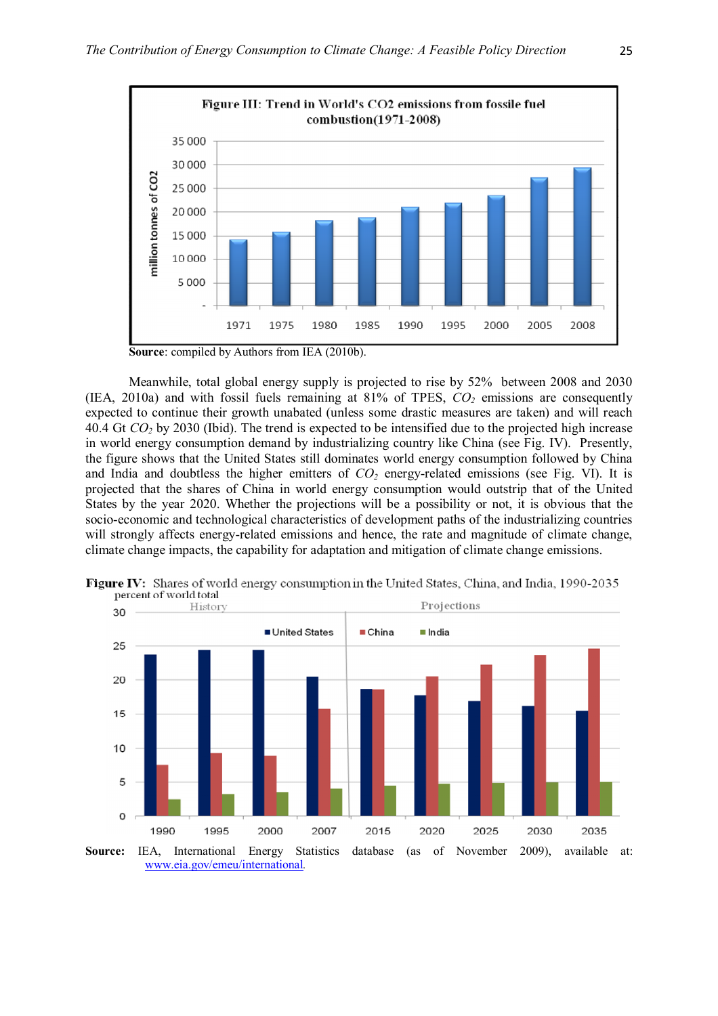

**Source**: compiled by Authors from IEA (2010b).

Meanwhile, total global energy supply is projected to rise by 52% between 2008 and 2030 (IEA, 2010a) and with fossil fuels remaining at 81% of TPES, *CO2* emissions are consequently expected to continue their growth unabated (unless some drastic measures are taken) and will reach 40.4 Gt *CO2* by 2030 (Ibid). The trend is expected to be intensified due to the projected high increase in world energy consumption demand by industrializing country like China (see Fig. IV). Presently, the figure shows that the United States still dominates world energy consumption followed by China and India and doubtless the higher emitters of *CO2* energy-related emissions (see Fig. VI). It is projected that the shares of China in world energy consumption would outstrip that of the United States by the year 2020. Whether the projections will be a possibility or not, it is obvious that the socio-economic and technological characteristics of development paths of the industrializing countries will strongly affects energy-related emissions and hence, the rate and magnitude of climate change, climate change impacts, the capability for adaptation and mitigation of climate change emissions.



Figure IV: Shares of world energy consumption in the United States, China, and India, 1990-2035 percent of world total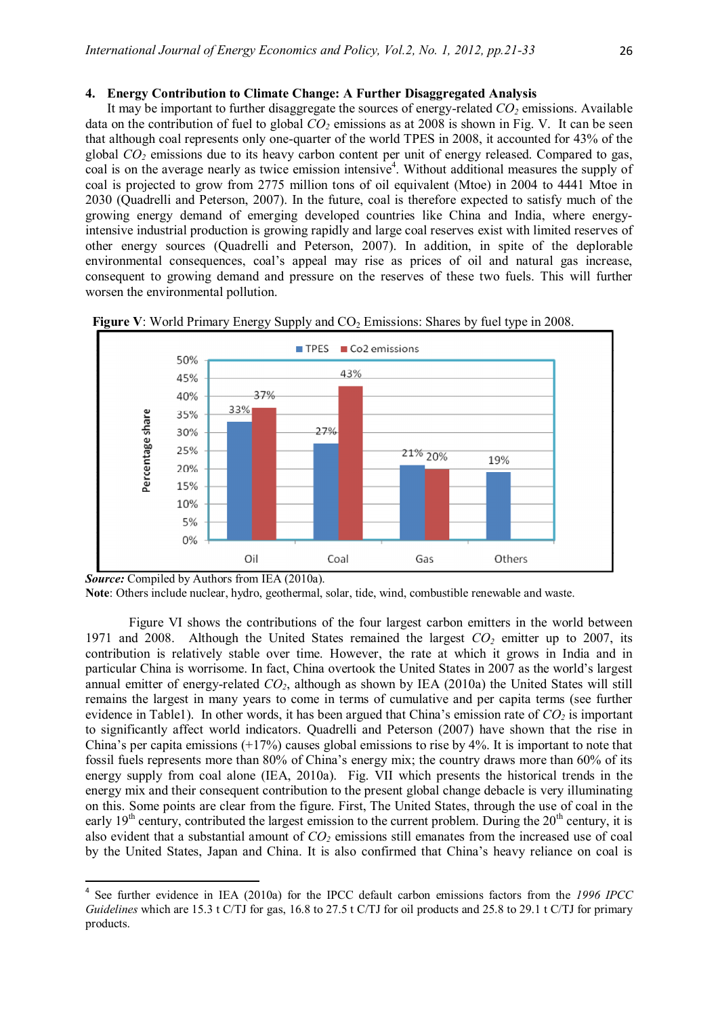## **4. Energy Contribution to Climate Change: A Further Disaggregated Analysis**

It may be important to further disaggregate the sources of energy-related *CO2* emissions. Available data on the contribution of fuel to global *CO2* emissions as at 2008 is shown in Fig. V. It can be seen that although coal represents only one-quarter of the world TPES in 2008, it accounted for 43% of the global *CO2* emissions due to its heavy carbon content per unit of energy released. Compared to gas, coal is on the average nearly as twice emission intensive<sup>4</sup>. Without additional measures the supply of coal is projected to grow from 2775 million tons of oil equivalent (Mtoe) in 2004 to 4441 Mtoe in 2030 (Quadrelli and Peterson, 2007). In the future, coal is therefore expected to satisfy much of the growing energy demand of emerging developed countries like China and India, where energyintensive industrial production is growing rapidly and large coal reserves exist with limited reserves of other energy sources (Quadrelli and Peterson, 2007). In addition, in spite of the deplorable environmental consequences, coal's appeal may rise as prices of oil and natural gas increase, consequent to growing demand and pressure on the reserves of these two fuels. This will further worsen the environmental pollution.





*Source:* Compiled by Authors from IEA (2010a).

 $\ddot{\phantom{a}}$ 

Figure VI shows the contributions of the four largest carbon emitters in the world between 1971 and 2008. Although the United States remained the largest *CO2* emitter up to 2007, its contribution is relatively stable over time. However, the rate at which it grows in India and in particular China is worrisome. In fact, China overtook the United States in 2007 as the world's largest annual emitter of energy-related *CO2*, although as shown by IEA (2010a) the United States will still remains the largest in many years to come in terms of cumulative and per capita terms (see further evidence in Table1). In other words, it has been argued that China's emission rate of  $CO<sub>2</sub>$  is important to significantly affect world indicators. Quadrelli and Peterson (2007) have shown that the rise in China's per capita emissions  $(+17%)$  causes global emissions to rise by 4%. It is important to note that fossil fuels represents more than 80% of China's energy mix; the country draws more than 60% of its energy supply from coal alone (IEA, 2010a). Fig. VII which presents the historical trends in the energy mix and their consequent contribution to the present global change debacle is very illuminating on this. Some points are clear from the figure. First, The United States, through the use of coal in the early  $19<sup>th</sup>$  century, contributed the largest emission to the current problem. During the  $20<sup>th</sup>$  century, it is also evident that a substantial amount of *CO2* emissions still emanates from the increased use of coal by the United States, Japan and China. It is also confirmed that China's heavy reliance on coal is

**Note**: Others include nuclear, hydro, geothermal, solar, tide, wind, combustible renewable and waste.

<sup>4</sup> See further evidence in IEA (2010a) for the IPCC default carbon emissions factors from the *1996 IPCC Guidelines* which are 15.3 t C/TJ for gas, 16.8 to 27.5 t C/TJ for oil products and 25.8 to 29.1 t C/TJ for primary products.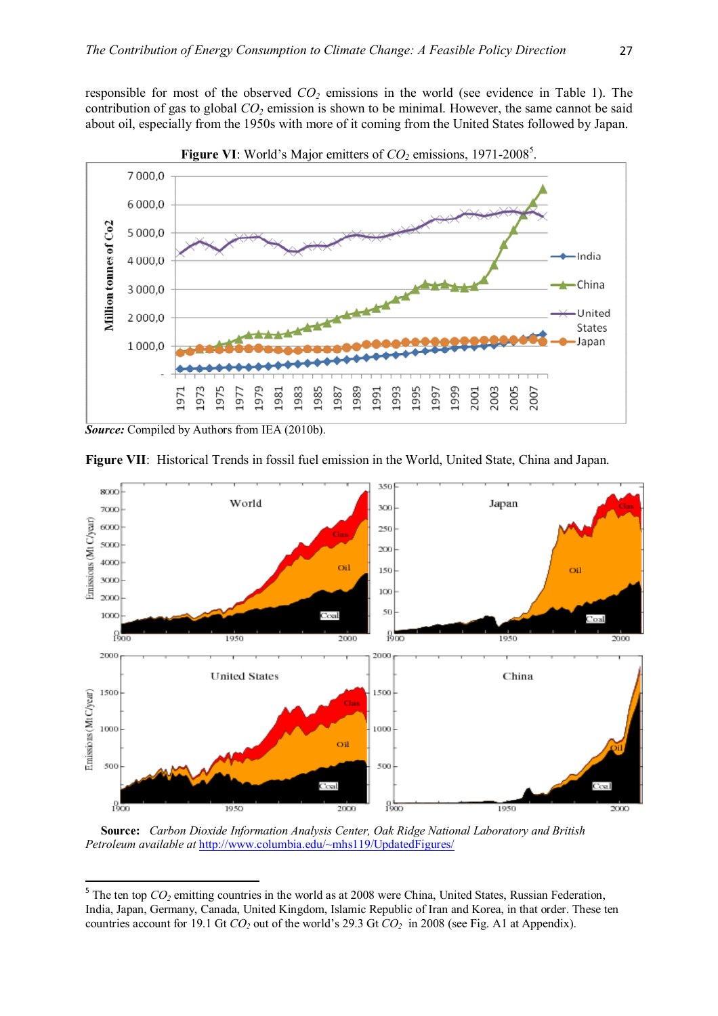responsible for most of the observed *CO2* emissions in the world (see evidence in Table 1). The contribution of gas to global *CO2* emission is shown to be minimal. However, the same cannot be said about oil, especially from the 1950s with more of it coming from the United States followed by Japan.



**Figure VI**: World's Major emitters of  $CO<sub>2</sub>$  emissions, 1971-2008<sup>5</sup>.

*Source:* Compiled by Authors from IEA (2010b).

 $\ddot{\phantom{a}}$ 



**Figure VII**: Historical Trends in fossil fuel emission in the World, United State, China and Japan.

 **Source:** *Carbon Dioxide Information Analysis Center, Oak Ridge National Laboratory and British Petroleum available at* http://www.columbia.edu/~mhs119/UpdatedFigures/

 $<sup>5</sup>$  The ten top  $CO<sub>2</sub>$  emitting countries in the world as at 2008 were China, United States, Russian Federation,</sup> India, Japan, Germany, Canada, United Kingdom, Islamic Republic of Iran and Korea, in that order. These ten countries account for 19.1 Gt *CO2* out of the world's 29.3 Gt *CO2* in 2008 (see Fig. A1 at Appendix).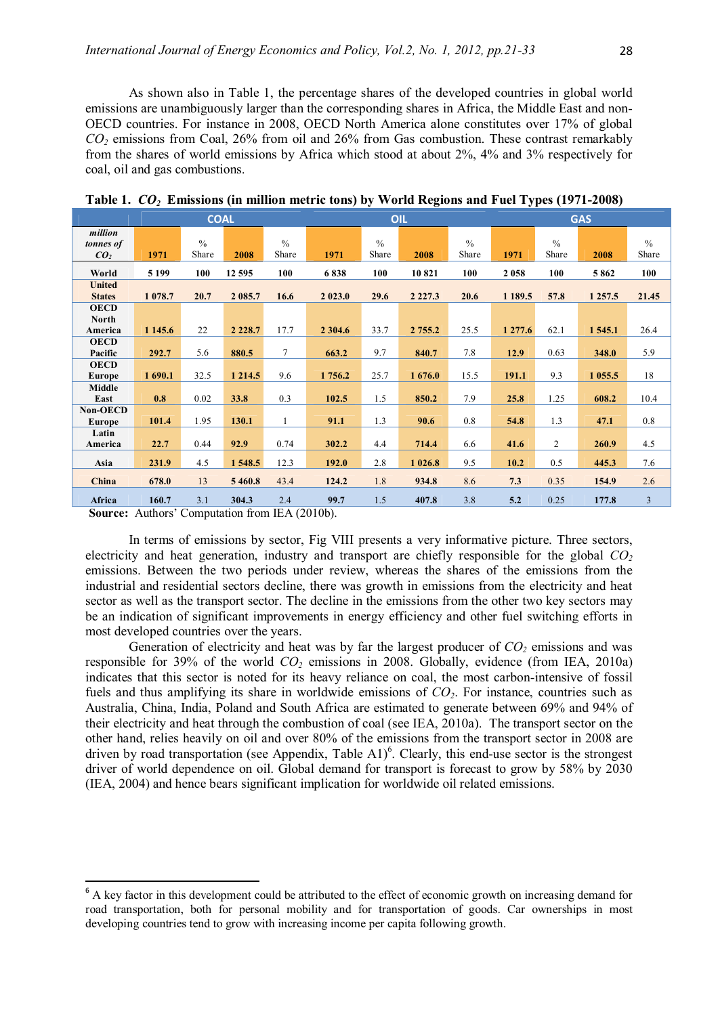As shown also in Table 1, the percentage shares of the developed countries in global world emissions are unambiguously larger than the corresponding shares in Africa, the Middle East and non-OECD countries. For instance in 2008, OECD North America alone constitutes over 17% of global *CO<sup>2</sup>* emissions from Coal, 26% from oil and 26% from Gas combustion. These contrast remarkably from the shares of world emissions by Africa which stood at about 2%, 4% and 3% respectively for coal, oil and gas combustions.

|                                         | <b>COAL</b> |                        |            |                        | OIL        |                        |            |                        | <b>GAS</b> |                        |             |                        |
|-----------------------------------------|-------------|------------------------|------------|------------------------|------------|------------------------|------------|------------------------|------------|------------------------|-------------|------------------------|
| million<br>tonnes of<br>CO <sub>2</sub> | 1971        | $\frac{0}{0}$<br>Share | 2008       | $\frac{0}{0}$<br>Share | 1971       | $\frac{0}{0}$<br>Share | 2008       | $\frac{0}{0}$<br>Share | 1971       | $\frac{0}{0}$<br>Share | 2008        | $\frac{0}{0}$<br>Share |
| World                                   | 5 1 9 9     | 100                    | 12 595     | 100                    | 6838       | 100                    | 10821      | 100                    | 2058       | 100                    | 5862        | 100                    |
| <b>United</b><br><b>States</b>          | 1 0 78.7    | 20.7                   | 2 085.7    | 16.6                   | 2 0 2 3 .0 | 29.6                   | 2 2 2 7 .3 | 20.6                   | 1 189.5    | 57.8                   | 1 2 5 7 . 5 | 21.45                  |
| <b>OECD</b><br>North                    |             |                        |            |                        |            |                        |            |                        |            |                        |             |                        |
| America                                 | 1 1 4 5 . 6 | 22                     | 2 2 2 8 .7 | 17.7                   | 2 3 0 4 .6 | 33.7                   | 2 7 5 5 .2 | 25.5                   | 1 277.6    | 62.1                   | 1545.1      | 26.4                   |
| <b>OECD</b><br>Pacific                  | 292.7       | 5.6                    | 880.5      | 7                      | 663.2      | 9.7                    | 840.7      | 7.8                    | 12.9       | 0.63                   | 348.0       | 5.9                    |
| <b>OECD</b><br><b>Europe</b>            | 1 690.1     | 32.5                   | 1 2 1 4 .5 | 9.6                    | 1756.2     | 25.7                   | 1676.0     | 15.5                   | 191.1      | 9.3                    | 1 0 5 5.5   | 18                     |
| Middle<br>East                          | 0.8         | 0.02                   | 33.8       | 0.3                    | 102.5      | 1.5                    | 850.2      | 7.9                    | 25.8       | 1.25                   | 608.2       | 10.4                   |
| Non-OECD<br>Europe                      | 101.4       | 1.95                   | 130.1      | 1                      | 91.1       | 1.3                    | 90.6       | 0.8                    | 54.8       | 1.3                    | 47.1        | 0.8                    |
| Latin<br>America                        | 22.7        | 0.44                   | 92.9       | 0.74                   | 302.2      | 4.4                    | 714.4      | 6.6                    | 41.6       | $\overline{2}$         | 260.9       | 4.5                    |
| Asia                                    | 231.9       | 4.5                    | 1548.5     | 12.3                   | 192.0      | 2.8                    | 1 026.8    | 9.5                    | 10.2       | 0.5                    | 445.3       | 7.6                    |
| China                                   | 678.0       | 13                     | 5 4 6 0.8  | 43.4                   | 124.2      | 1.8                    | 934.8      | 8.6                    | 7.3        | 0.35                   | 154.9       | 2.6                    |
| Africa                                  | 160.7       | 3.1                    | 304.3      | 2.4                    | 99.7       | 1.5                    | 407.8      | 3.8                    | 5.2        | 0.25                   | 177.8       | 3                      |

**Table 1.** *CO<sup>2</sup>* **Emissions (in million metric tons) by World Regions and Fuel Types (1971-2008)**

**Source:** Authors' Computation from IEA (2010b).

 $\ddot{\phantom{a}}$ 

In terms of emissions by sector, Fig VIII presents a very informative picture. Three sectors, electricity and heat generation, industry and transport are chiefly responsible for the global *CO<sup>2</sup>* emissions. Between the two periods under review, whereas the shares of the emissions from the industrial and residential sectors decline, there was growth in emissions from the electricity and heat sector as well as the transport sector. The decline in the emissions from the other two key sectors may be an indication of significant improvements in energy efficiency and other fuel switching efforts in most developed countries over the years.

Generation of electricity and heat was by far the largest producer of *CO2* emissions and was responsible for 39% of the world *CO2* emissions in 2008. Globally, evidence (from IEA, 2010a) indicates that this sector is noted for its heavy reliance on coal, the most carbon-intensive of fossil fuels and thus amplifying its share in worldwide emissions of *CO2*. For instance, countries such as Australia, China, India, Poland and South Africa are estimated to generate between 69% and 94% of their electricity and heat through the combustion of coal (see IEA, 2010a). The transport sector on the other hand, relies heavily on oil and over 80% of the emissions from the transport sector in 2008 are driven by road transportation (see Appendix, Table A1)<sup>6</sup>. Clearly, this end-use sector is the strongest driver of world dependence on oil. Global demand for transport is forecast to grow by 58% by 2030 (IEA, 2004) and hence bears significant implication for worldwide oil related emissions.

<sup>&</sup>lt;sup>6</sup> A key factor in this development could be attributed to the effect of economic growth on increasing demand for road transportation, both for personal mobility and for transportation of goods. Car ownerships in most developing countries tend to grow with increasing income per capita following growth.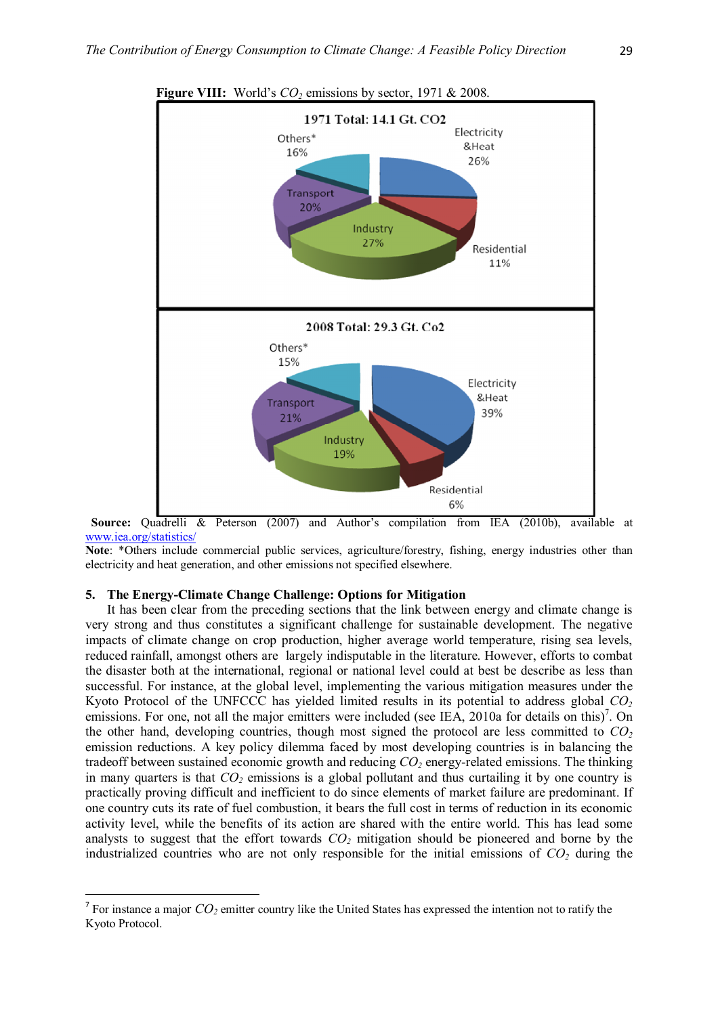

**Figure VIII:** World's *CO2* emissions by sector, 1971 & 2008.

 **Source:** Quadrelli & Peterson (2007) and Author's compilation from IEA (2010b), available at www.iea.org/statistics/

**Note**: \*Others include commercial public services, agriculture/forestry, fishing, energy industries other than electricity and heat generation, and other emissions not specified elsewhere.

#### **5. The Energy-Climate Change Challenge: Options for Mitigation**

 $\overline{a}$ 

It has been clear from the preceding sections that the link between energy and climate change is very strong and thus constitutes a significant challenge for sustainable development. The negative impacts of climate change on crop production, higher average world temperature, rising sea levels, reduced rainfall, amongst others are largely indisputable in the literature. However, efforts to combat the disaster both at the international, regional or national level could at best be describe as less than successful. For instance, at the global level, implementing the various mitigation measures under the Kyoto Protocol of the UNFCCC has yielded limited results in its potential to address global *CO<sup>2</sup>* emissions. For one, not all the major emitters were included (see IEA, 2010a for details on this)<sup>7</sup>. On the other hand, developing countries, though most signed the protocol are less committed to *CO<sup>2</sup>* emission reductions. A key policy dilemma faced by most developing countries is in balancing the tradeoff between sustained economic growth and reducing *CO2* energy-related emissions. The thinking in many quarters is that  $CO<sub>2</sub>$  emissions is a global pollutant and thus curtailing it by one country is practically proving difficult and inefficient to do since elements of market failure are predominant. If one country cuts its rate of fuel combustion, it bears the full cost in terms of reduction in its economic activity level, while the benefits of its action are shared with the entire world. This has lead some analysts to suggest that the effort towards  $CO<sub>2</sub>$  mitigation should be pioneered and borne by the industrialized countries who are not only responsible for the initial emissions of *CO2* during the

<sup>&</sup>lt;sup>7</sup> For instance a major  $CO_2$  emitter country like the United States has expressed the intention not to ratify the Kyoto Protocol.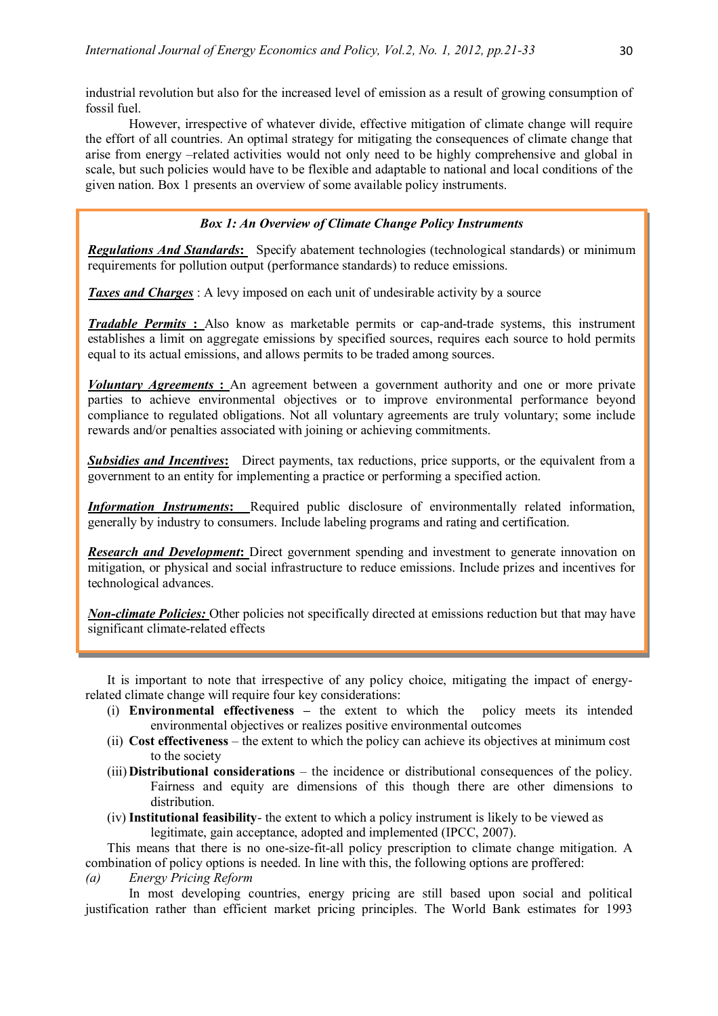industrial revolution but also for the increased level of emission as a result of growing consumption of fossil fuel.

However, irrespective of whatever divide, effective mitigation of climate change will require the effort of all countries. An optimal strategy for mitigating the consequences of climate change that arise from energy –related activities would not only need to be highly comprehensive and global in scale, but such policies would have to be flexible and adaptable to national and local conditions of the given nation. Box 1 presents an overview of some available policy instruments.

# *Box 1: An Overview of Climate Change Policy Instruments*

*Regulations And Standards***:** Specify abatement technologies (technological standards) or minimum requirements for pollution output (performance standards) to reduce emissions.

**Taxes and Charges**: A levy imposed on each unit of undesirable activity by a source

*Tradable Permits* : Also know as marketable permits or cap-and-trade systems, this instrument establishes a limit on aggregate emissions by specified sources, requires each source to hold permits equal to its actual emissions, and allows permits to be traded among sources.

*Voluntary Agreements* **:** An agreement between a government authority and one or more private parties to achieve environmental objectives or to improve environmental performance beyond compliance to regulated obligations. Not all voluntary agreements are truly voluntary; some include rewards and/or penalties associated with joining or achieving commitments.

*Subsidies and Incentives***:** Direct payments, tax reductions, price supports, or the equivalent from a government to an entity for implementing a practice or performing a specified action.

**Information Instruments:** Required public disclosure of environmentally related information, generally by industry to consumers. Include labeling programs and rating and certification.

*Research and Development***:** Direct government spending and investment to generate innovation on mitigation, or physical and social infrastructure to reduce emissions. Include prizes and incentives for technological advances.

*Non-climate Policies:* Other policies not specifically directed at emissions reduction but that may have significant climate-related effects

It is important to note that irrespective of any policy choice, mitigating the impact of energyrelated climate change will require four key considerations:

- (i) **Environmental effectiveness –** the extent to which the policy meets its intended environmental objectives or realizes positive environmental outcomes
- (ii) **Cost effectiveness**  the extent to which the policy can achieve its objectives at minimum cost to the society
- (iii) **Distributional considerations** the incidence or distributional consequences of the policy. Fairness and equity are dimensions of this though there are other dimensions to distribution.
- (iv) **Institutional feasibility** the extent to which a policy instrument is likely to be viewed as legitimate, gain acceptance, adopted and implemented (IPCC, 2007).

This means that there is no one-size-fit-all policy prescription to climate change mitigation. A combination of policy options is needed. In line with this, the following options are proffered:

*(a) Energy Pricing Reform*

In most developing countries, energy pricing are still based upon social and political justification rather than efficient market pricing principles. The World Bank estimates for 1993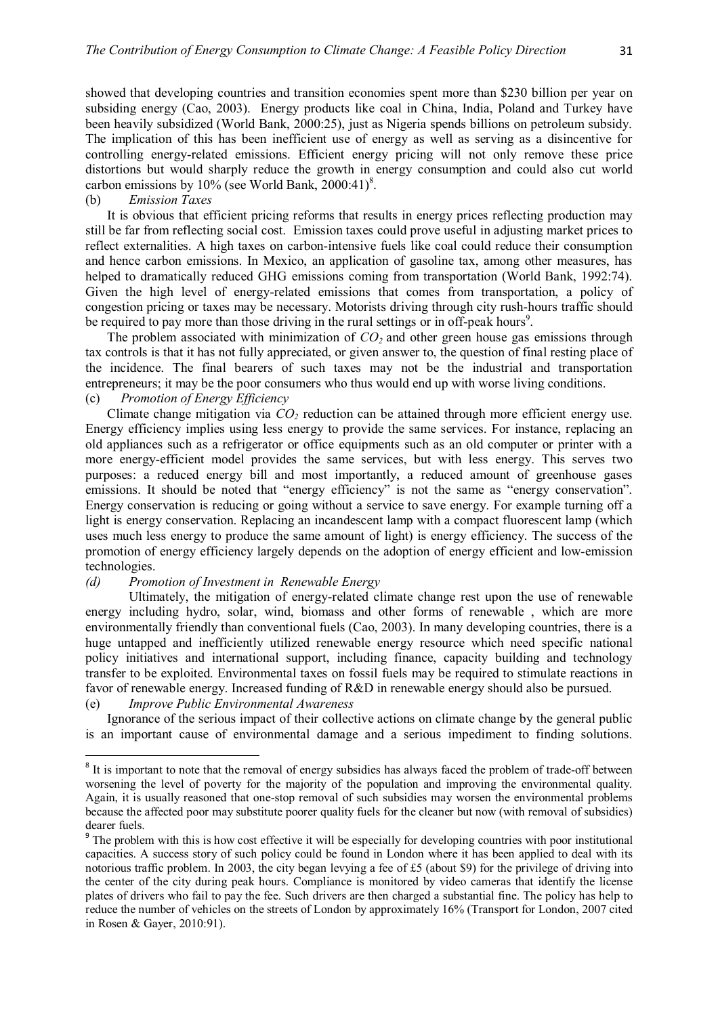showed that developing countries and transition economies spent more than \$230 billion per year on subsiding energy (Cao, 2003). Energy products like coal in China, India, Poland and Turkey have been heavily subsidized (World Bank, 2000:25), just as Nigeria spends billions on petroleum subsidy. The implication of this has been inefficient use of energy as well as serving as a disincentive for controlling energy-related emissions. Efficient energy pricing will not only remove these price distortions but would sharply reduce the growth in energy consumption and could also cut world carbon emissions by  $10\%$  (see World Bank, 2000:41)<sup>8</sup>.

#### (b) *Emission Taxes*

It is obvious that efficient pricing reforms that results in energy prices reflecting production may still be far from reflecting social cost. Emission taxes could prove useful in adjusting market prices to reflect externalities. A high taxes on carbon-intensive fuels like coal could reduce their consumption and hence carbon emissions. In Mexico, an application of gasoline tax, among other measures, has helped to dramatically reduced GHG emissions coming from transportation (World Bank, 1992:74). Given the high level of energy-related emissions that comes from transportation, a policy of congestion pricing or taxes may be necessary. Motorists driving through city rush-hours traffic should be required to pay more than those driving in the rural settings or in off-peak hours<sup>9</sup>.

The problem associated with minimization of *CO2* and other green house gas emissions through tax controls is that it has not fully appreciated, or given answer to, the question of final resting place of the incidence. The final bearers of such taxes may not be the industrial and transportation entrepreneurs; it may be the poor consumers who thus would end up with worse living conditions. (c) *Promotion of Energy Efficiency* 

Climate change mitigation via *CO2* reduction can be attained through more efficient energy use. Energy efficiency implies using less energy to provide the same services. For instance, replacing an old appliances such as a refrigerator or office equipments such as an old computer or printer with a more energy-efficient model provides the same services, but with less energy. This serves two purposes: a reduced energy bill and most importantly, a reduced amount of greenhouse gases emissions. It should be noted that "energy efficiency" is not the same as "energy conservation". Energy conservation is reducing or going without a service to save energy. For example turning off a light is energy conservation. Replacing an incandescent lamp with a compact fluorescent lamp (which uses much less energy to produce the same amount of light) is energy efficiency. The success of the promotion of energy efficiency largely depends on the adoption of energy efficient and low-emission technologies.

#### *(d) Promotion of Investment in Renewable Energy*

Ultimately, the mitigation of energy-related climate change rest upon the use of renewable energy including hydro, solar, wind, biomass and other forms of renewable , which are more environmentally friendly than conventional fuels (Cao, 2003). In many developing countries, there is a huge untapped and inefficiently utilized renewable energy resource which need specific national policy initiatives and international support, including finance, capacity building and technology transfer to be exploited. Environmental taxes on fossil fuels may be required to stimulate reactions in favor of renewable energy. Increased funding of R&D in renewable energy should also be pursued.

#### (e) *Improve Public Environmental Awareness*

 $\ddot{\phantom{a}}$ 

Ignorance of the serious impact of their collective actions on climate change by the general public is an important cause of environmental damage and a serious impediment to finding solutions.

<sup>&</sup>lt;sup>8</sup> It is important to note that the removal of energy subsidies has always faced the problem of trade-off between worsening the level of poverty for the majority of the population and improving the environmental quality. Again, it is usually reasoned that one-stop removal of such subsidies may worsen the environmental problems because the affected poor may substitute poorer quality fuels for the cleaner but now (with removal of subsidies) dearer fuels.

<sup>&</sup>lt;sup>9</sup> The problem with this is how cost effective it will be especially for developing countries with poor institutional capacities. A success story of such policy could be found in London where it has been applied to deal with its notorious traffic problem. In 2003, the city began levying a fee of £5 (about \$9) for the privilege of driving into the center of the city during peak hours. Compliance is monitored by video cameras that identify the license plates of drivers who fail to pay the fee. Such drivers are then charged a substantial fine. The policy has help to reduce the number of vehicles on the streets of London by approximately 16% (Transport for London, 2007 cited in Rosen & Gayer, 2010:91).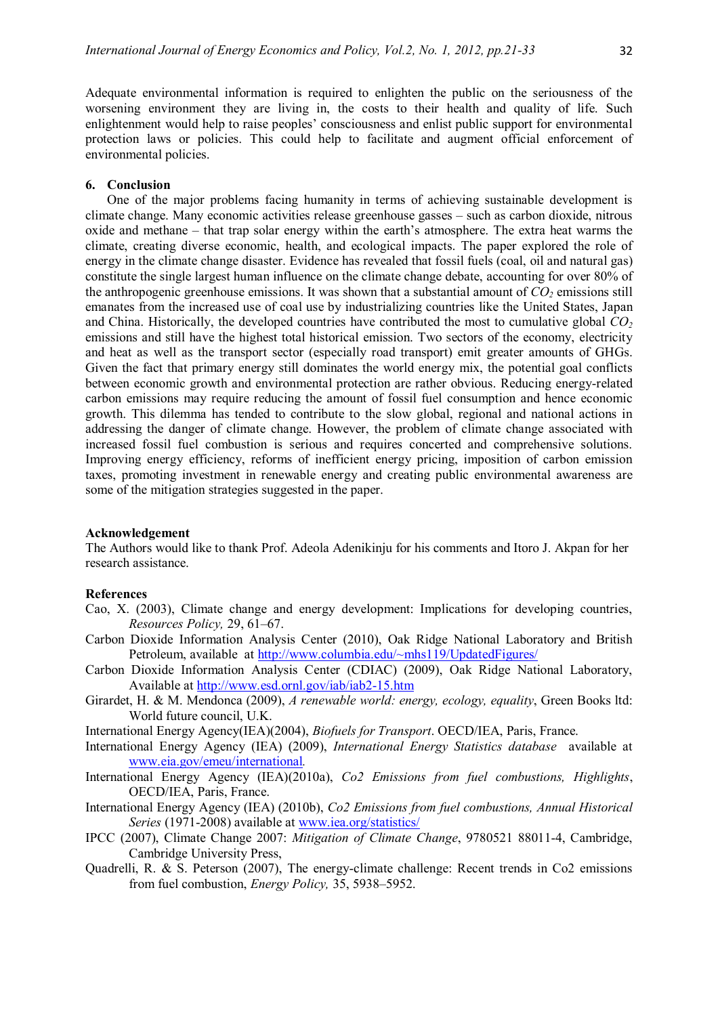Adequate environmental information is required to enlighten the public on the seriousness of the worsening environment they are living in, the costs to their health and quality of life. Such enlightenment would help to raise peoples' consciousness and enlist public support for environmental protection laws or policies. This could help to facilitate and augment official enforcement of environmental policies.

#### **6. Conclusion**

One of the major problems facing humanity in terms of achieving sustainable development is climate change. Many economic activities release greenhouse gasses – such as carbon dioxide, nitrous oxide and methane – that trap solar energy within the earth's atmosphere. The extra heat warms the climate, creating diverse economic, health, and ecological impacts. The paper explored the role of energy in the climate change disaster. Evidence has revealed that fossil fuels (coal, oil and natural gas) constitute the single largest human influence on the climate change debate, accounting for over 80% of the anthropogenic greenhouse emissions. It was shown that a substantial amount of  $CO<sub>2</sub>$  emissions still emanates from the increased use of coal use by industrializing countries like the United States, Japan and China. Historically, the developed countries have contributed the most to cumulative global *CO<sup>2</sup>* emissions and still have the highest total historical emission. Two sectors of the economy, electricity and heat as well as the transport sector (especially road transport) emit greater amounts of GHGs. Given the fact that primary energy still dominates the world energy mix, the potential goal conflicts between economic growth and environmental protection are rather obvious. Reducing energy-related carbon emissions may require reducing the amount of fossil fuel consumption and hence economic growth. This dilemma has tended to contribute to the slow global, regional and national actions in addressing the danger of climate change. However, the problem of climate change associated with increased fossil fuel combustion is serious and requires concerted and comprehensive solutions. Improving energy efficiency, reforms of inefficient energy pricing, imposition of carbon emission taxes, promoting investment in renewable energy and creating public environmental awareness are some of the mitigation strategies suggested in the paper.

#### **Acknowledgement**

The Authors would like to thank Prof. Adeola Adenikinju for his comments and Itoro J. Akpan for her research assistance.

#### **References**

- Cao, X. (2003), Climate change and energy development: Implications for developing countries, *Resources Policy,* 29, 61–67.
- Carbon Dioxide Information Analysis Center (2010), Oak Ridge National Laboratory and British Petroleum, available at http://www.columbia.edu/~mhs119/UpdatedFigures/
- Carbon Dioxide Information Analysis Center (CDIAC) (2009), Oak Ridge National Laboratory, Available at http://www.esd.ornl.gov/iab/iab2-15.htm
- Girardet, H. & M. Mendonca (2009), *A renewable world: energy, ecology, equality*, Green Books ltd: World future council, U.K.
- International Energy Agency(IEA)(2004), *Biofuels for Transport*. OECD/IEA, Paris, France.
- International Energy Agency (IEA) (2009), *International Energy Statistics database* available at www.eia.gov/emeu/international*.*
- International Energy Agency (IEA)(2010a), *Co2 Emissions from fuel combustions, Highlights*, OECD/IEA, Paris, France.
- International Energy Agency (IEA) (2010b), *Co2 Emissions from fuel combustions, Annual Historical Series* (1971-2008) available at www.iea.org/statistics/
- IPCC (2007), Climate Change 2007: *Mitigation of Climate Change*, 9780521 88011-4, Cambridge, Cambridge University Press,
- Quadrelli, R. & S. Peterson (2007), The energy-climate challenge: Recent trends in Co2 emissions from fuel combustion, *Energy Policy,* 35, 5938–5952.